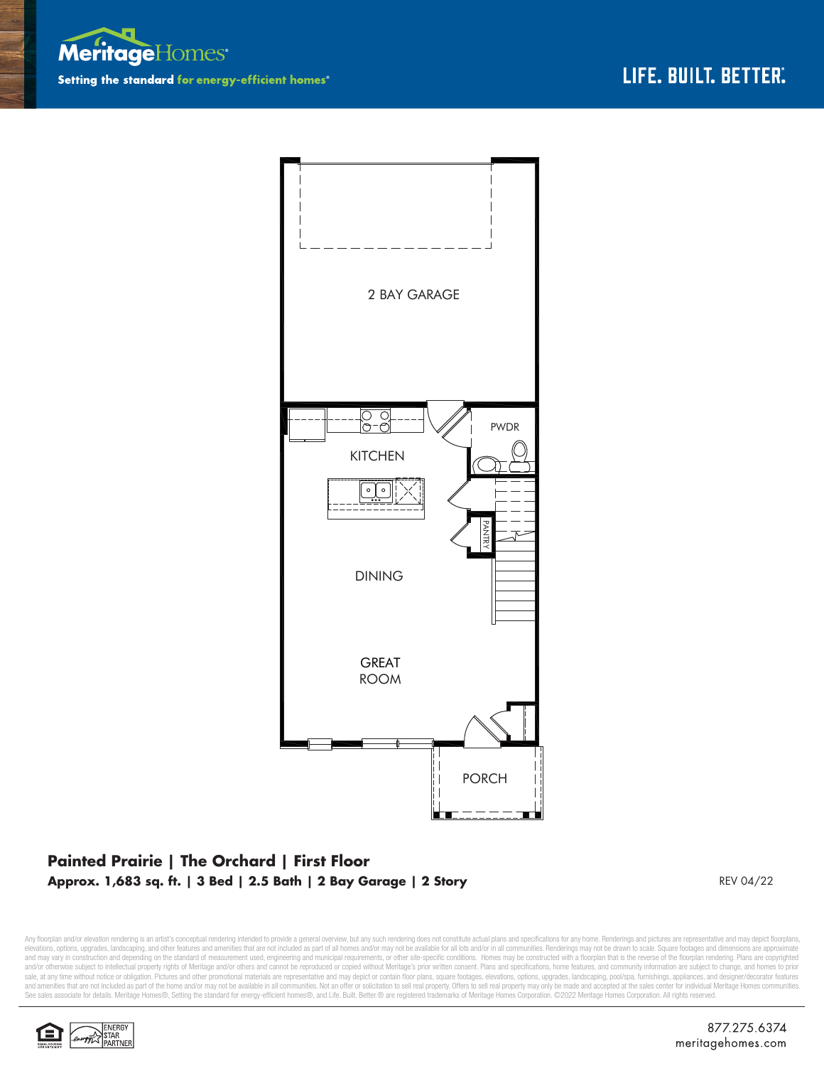



## **Painted Prairie | The Orchard | First Floor Approx. 1,683 sq. ft. | 3 Bed | 2.5 Bath | 2 Bay Garage | 2 Story** REV 04/22

Any floorplan and/or elevation rendering is an artist's conceptual rendering intended to provide a general overview, but any such rendering does not constitute actual plans and specifications for any home. Renderings and p elevations, options, upgrades, landscaping, and other features and amenities that are not included as part of all homes and/or may not be available for all lots and/or in all communities. Renderings may not be drawn to sca and may vary in construction and depending on the standard of measurement used, engineering and municipal requirements, or other site-specific conditions. Homes may be constructed with a floorplan that is the reverse of th sale, at any time without notice or obligation. Pictures and other promotional materials are representative and may depict or contain floor plans, square footages, elevations, options, upgrades, landscaping, pool/spa, furn and amenities that are not included as part of the home and/or may not be available in all communities. Not an offer or solicitation to sell real property. Offers to sell real property may only be made and accepted at the